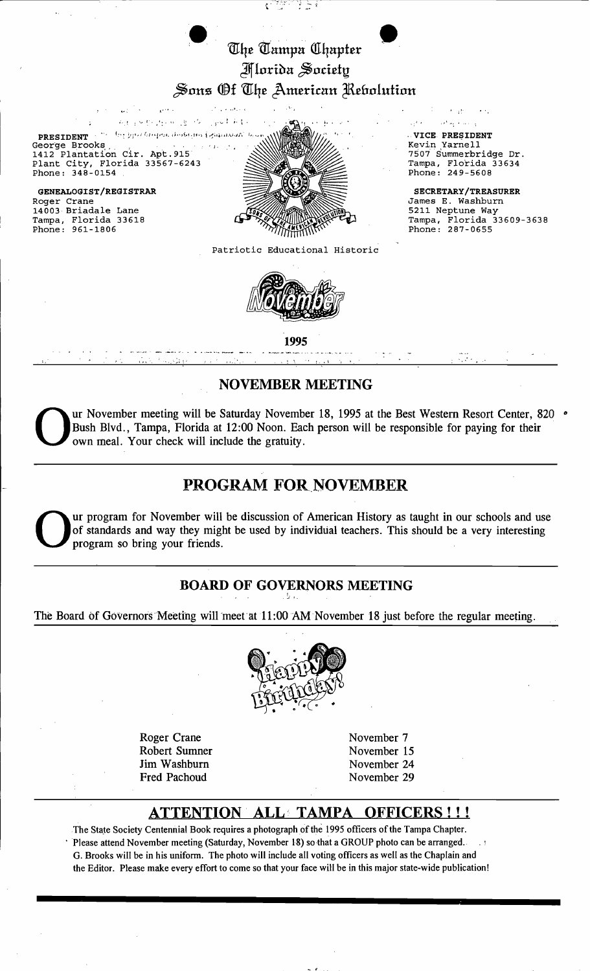# The Tampa Chapter **Morida Society** Sons Of The American Rebolution

Ç.

V.

Address of B. M. gold Alle The grou Grogesic dosbrinis Egiptions ( **PRESIDENT** George Brooks 1412 Plantation Cir. Apt. 915 Plant City, Florida 33567-6243 Phone: 348-0154

 $\sim 10$ 

 $\sqrt{1 + \epsilon^2}$ 

GENEALOGIST/REGISTRAR Roger Crane 14003 Briadale Lane Tampa, Florida 33618<br>Phone: 961-1806



Patriotic Educational Historic



VICE PRESIDENT Kevin Yarnell 7507 Summerbridge Dr. Tampa, Florida 33634 Phone: 249-5608

 $1.11$ 

 $\sim$  0.00  $\sim$  0.000  $\pm$ 

 $\alpha^{(2)}_1$  .

**SECRETARY/TREASURER** James E. Washburn 5211 Neptune Way Tampa, Florida 33609-3638<br>Phone: 287-0655

1995

## **NOVEMBER MEETING**

ur November meeting will be Saturday November 18, 1995 at the Best Western Resort Center, 820 . Bush Blvd., Tampa, Florida at 12:00 Noon. Each person will be responsible for paying for their own meal. Your check will include the gratuity.

# **PROGRAM FOR NOVEMBER**

ur program for November will be discussion of American History as taught in our schools and use of standards and way they might be used by individual teachers. This should be a very interesting program so bring your friends.

## **BOARD OF GOVERNORS MEETING**

The Board of Governors Meeting will meet at 11:00 AM November 18 just before the regular meeting.



**Roger Crane** Robert Sumner Jim Washburn **Fred Pachoud** 

November 7 November 15 November 24 November 29

#### **ATTENTION ALL TAMPA** OFFICERS!!!

The State Society Centennial Book requires a photograph of the 1995 officers of the Tampa Chapter. Please attend November meeting (Saturday, November 18) so that a GROUP photo can be arranged. G. Brooks will be in his uniform. The photo will include all voting officers as well as the Chaplain and the Editor. Please make every effort to come so that your face will be in this major state-wide publication!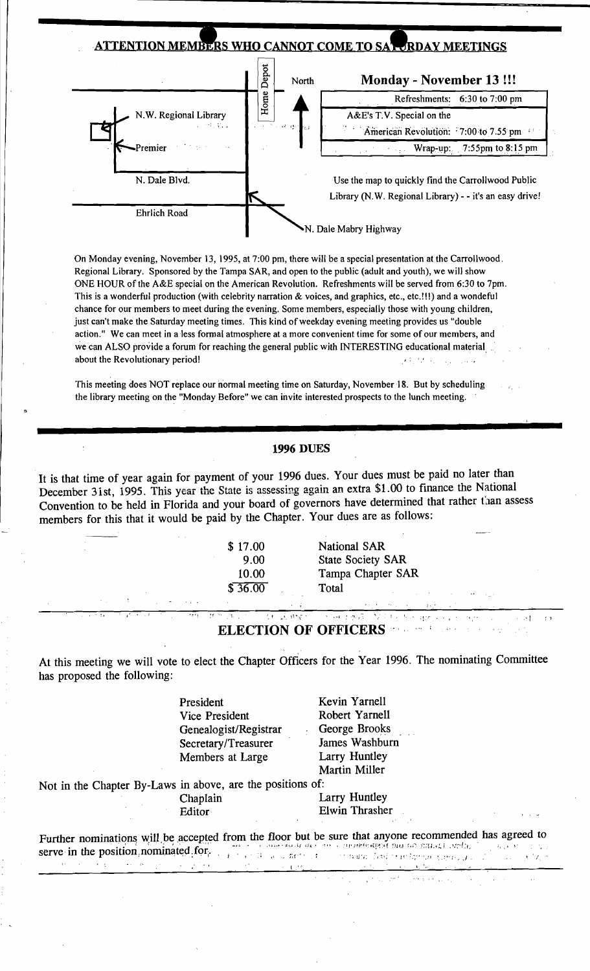

On Monday evening, November 13, 1995, at 7:00 pm, there will be a special presentation at the Carrollwood, Regional Library. Sponsored by the Tampa SAR, and open to the public (adult and youth), we will show ONE HOUR of the A&E special on the American Revolution. Refreshments will be served from 6:30 to 7pm. This is a wonderful production (with celebrity narration & voices, and graphics, etc., etc.!!!) and a wondeful chance for our members to meet during the evening. Some members, especially those with young children, just can't make the Saturday meeting times. This kind of weekday evening meeting provides us "double action." We can meet in a less formal atmosphere at a more convenient time for some of our members, and we can ALSO provide a forum for reaching the general public with INTERESTING educational material  $\mathbf{r}_{\text{max}}$ action." We can meet in a less formal atmosphere at a more convenient time for some of our members, and<br>we can ALSO provide a forum for reaching the general public with INTERESTING educational material<br>about the Revolution  $\frac{1}{2}$ 

This meeting does NOT replace our normal meeting time on Saturday, November 18. But by scheduling the library meeting on the "Monday Before" we can invite interested prospects to the lunch meeting.

### **1996 DUES**

It is that time of year again for payment of your 1996 dues. Your dues must be paid no later than December 31st, 1995. This year the State is assessing again an extra \$1.00 to finance the National Convention to be held in Florida and your board of governors have determined that rather than assess members for this that it would be paid by the Chapter. Your dues are as follows:

National SAR State Society SAR Tampa Chapter SAR Total

,  $\mathbf{r}$  ,  $\mathbf{r}$  ,  $\mathbf{r}$  ,  $\mathbf{r}$  ,  $\mathbf{r}$  ,  $\mathbf{r}$  ,  $\mathbf{r}$  ,  $\mathbf{r}$  ,  $\mathbf{r}$  ,  $\mathbf{r}$  ,  $\mathbf{r}$  ,  $\mathbf{r}$  ,  $\mathbf{r}$ 

<u>र्क अध्य</u>  $\sqrt{2\sqrt{2}}$  $\mathcal{L}_{\mathrm{max}}$  apr **ELECTION OF OFFICERS**  ... i

الرابي الأحالة للأما

At this meeting we will vote to elect the Chapter Officers for the Year 1996. The nominating Committee has proposed the following:

> President Kevin Yarnell Vice President Robert Yarnell Genealogist/Registrar George Brooks<br>Secretary/Treasurer James Washburn Secretary/Treasurer James Washbu<br>Members at Large Larry Huntley Members at Large

• • , <(

Martin Miller

Not in the Chapter By-Laws in above, are the positions of:

Chaplain Larry Huntley Editor Elwin Thrasher

Further nominations will be accepted from the floor but be sure that anyone recommended has agreed to serve in the position nominated for. t. ',.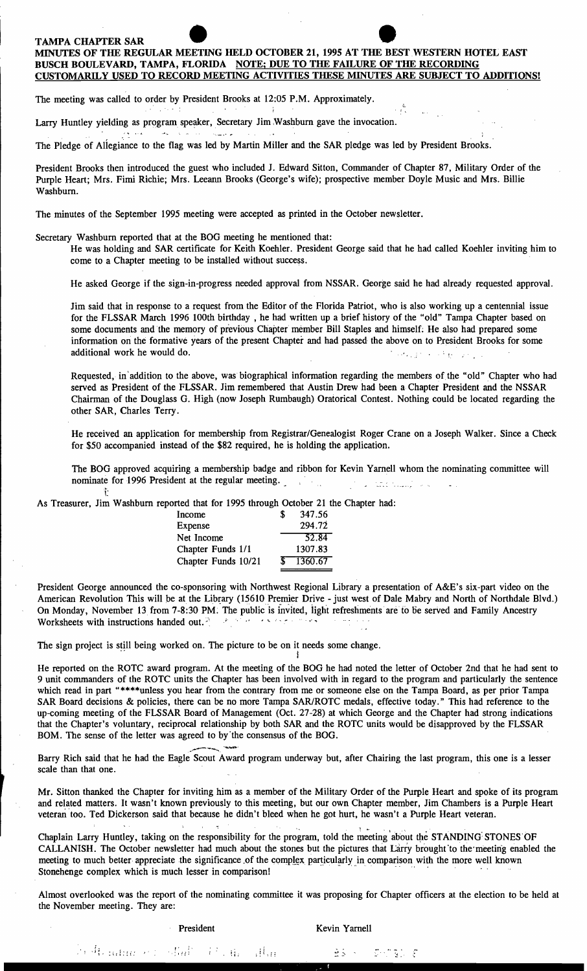### TAMPA CHAPTER SAR

 $\mathcal{L}(\mathbf{x})$  , and  $\mathcal{L}(\mathcal{L})$ 

f

## MINUTES OF THE REGULAR MEETING HELD OCTOBER 21, 1995 AT THE BEST WESTERN HOTEL EAST BUSCH BOULEVARD, TAMPA, FLORIDA NOTE; DUE TO THE FAILURE OF THE RECORDING CUSTOMARILY USED TO RECORD MEETING ACTIVITIES THESE MINUTES ARE SUBJECT TO ADDITIONSl

त हैं।

The meeting was called to order by President Brooks at 12:05 P.M. Approximately.

Larry Huntley yielding as program speaker, Secretary Jim Washburn gave the invocation. العداد الرابات الموافق ووابدته المتألف المتحاد المحاد

The Pledge of Allegiance to the flag was led by Martin Miller and the SAR pledge was led by President Brooks.

President Brooks then introduced the guest who included J. Edward Sitton, Commander of Chapter 87, Military Order of the Purple Heart; Mrs. Fimi Richie; Mrs. Leeann Brooks (George's wife); prospective member Doyle Music and Mrs. Billie Washburn.

The minutes of the September 1995 meeting were accepted as printed in the October newsletter.

Secretary Washburn reported that at the BOG meeting he mentioned that:

He was holding and SAR certificate for Keith Koehler. President George said that he had called Koehler inviting him to come to a Chapter meeting to be installed without success.

He asked George if the sign-in-progress needed approval from NSSAR. George said he had already requested approval.

Jim said that in response to a request from the Editor of the Florida Patriot, who is also working up a centennial issue for the FLSSAR March 1996 100th birthday, he had written up a brief history of the "old" Tampa Chapter based on some documents and the memory of previous Chapter member Bill Staples and himself; He also had prepared some information on the formative years of the present Chapter and had passed the above on to President Brooks for some additional work he would do. The same state of the same state of the same state of the same state of the same state of the same state of the same state of the same state of the same state of the same state of the same stat

Requested, in addition to the above, was biographical information regarding the members of the "old" Chapter who had served as President of the FLSSAR. Jim remembered that Austin Drew had been a Chapter President and the NSSAR Chairman of the Douglass G. High (now Joseph Rumbaugh) Oratorical Contest. Nothing could be located regarding the other SAR, Charles Terry.

He received an application for membership from Registrar/Genealogist Roger Crane on a Joseph Walker. Since a Check for \$50 accompanied instead of the \$82 required, he is holding the application.

The BOG approved acquiring a membership badge and ribbon for Kevin Yarnell whom the nominating committee will nominate for 1996 President at the regular meeting. المعاليتين فتتداعى

As Treasurer, Jim Washburn reported that for 1995 through October 21 the Chapter had:

| Income              | S.  | 347.56  |
|---------------------|-----|---------|
| Expense             |     | 294.72  |
| Net Income          |     | 52.84   |
| Chapter Funds 1/1   |     | 1307.83 |
| Chapter Funds 10/21 | \$. | 1360.67 |

President George announced the co-sponsoring with Northwest Regional Library a presentation of A&E's six-part video on the American Revolution This will be at the Library (15610 Premier Drive - just west of Dale Mabry and North of Northdale Blvd.) On Monday, November 13 from 7-8:30 PM. The public is invited, light refreshments are to be served and Family Ancestry Worksheets with instructions handed out. ~': *,i.* ,. .,,'. - ' ",

The sign project is still being worked on. The picture to be on it needs some change.

He reported on the ROTC award program. At the meeting of the BOG he had noted the letter of October 2nd that he had sent to 9 unit commanders of the ROTC units the Chapter has been involved with in regard to the program and particularly the sentence which read in part "\*\*\*\*unless you hear from the contrary from me or someone else on the Tampa Board, as per prior Tampa SAR Board decisions & policies, there can be no more Tampa SAR/ROTC medals, effective today." This had reference to the up-coming meeting of the FLSSAR Board of Management (Oct. 27-28) at which George and the Chapter had strong indications that the Chapter's voluntary, reciprocal relationship by both SAR and the ROTC units would be disapproved by the FLSSAR BOM. The sense of the letter was agreed to by·the consensus of the BOG.

I

Barry Rich said that he had the Eagle Scout Award program underway but, after Chairing the last program, this one is a lesser scale than that one.

Mr. Sitton thanked the Chapter for inviting him as a member of the Military Order of the Purple Heart and spoke of its program and related matters. It wasn't known previously to this meeting, but our own Chapter member, Jim Chambers is a Purple Heart veteran too. Ted Dickerson said that because he didn't bleed when he got hurt, he wasn't a Purple Heart veteran.

, Chaplain Larry Huntley, taking on the responsibility for the program, told the meeting' about t\1e STANDING~ STONES'OF CALLANISH. The October newsletter had much about the stones but the pictures that Larry brought'to the'meeting enabled the meeting to much better appreciate the significance of the complex particularly in comparison with the more well known Stonehenge complex which is much lesser in comparison!

Almost overlooked was the report of the nominating committee it was proposing for Chapter officers at the election to be held at the November meeting. They are:

President Kevin Yarnell

!). It is nature of the difficult of the filling of the second second section of